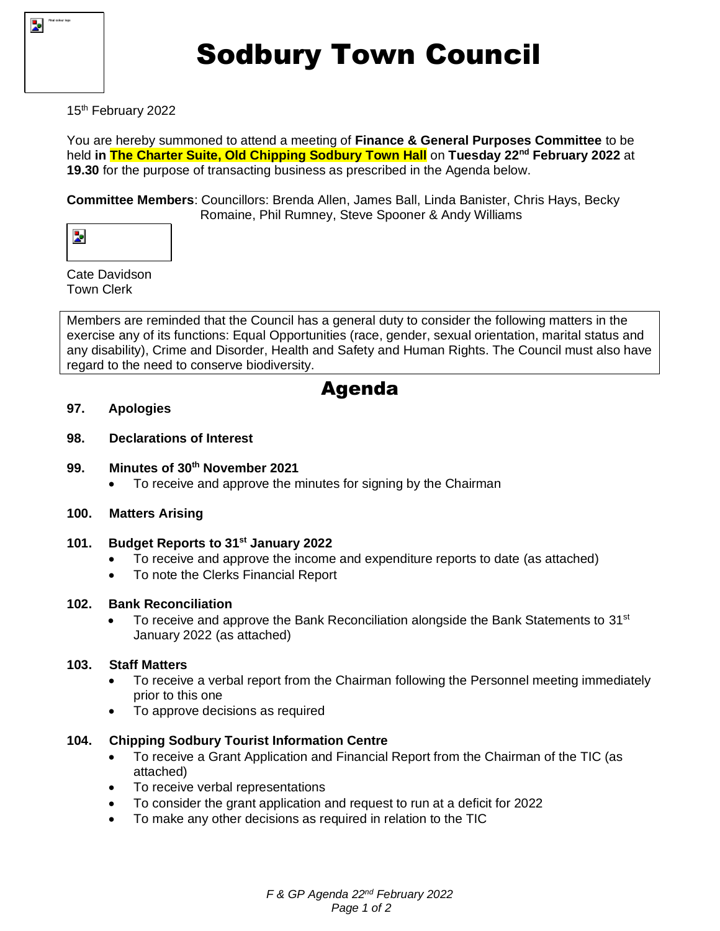

# Sodbury Town Council

### 15<sup>th</sup> February 2022

You are hereby summoned to attend a meeting of **Finance & General Purposes Committee** to be held **in The Charter Suite, Old Chipping Sodbury Town Hall** on **Tuesday 22nd February 2022** at **19.30** for the purpose of transacting business as prescribed in the Agenda below.

**Committee Members**: Councillors: Brenda Allen, James Ball, Linda Banister, Chris Hays, Becky Romaine, Phil Rumney, Steve Spooner & Andy Williams

Cate Davidson Town Clerk

Members are reminded that the Council has a general duty to consider the following matters in the exercise any of its functions: Equal Opportunities (race, gender, sexual orientation, marital status and any disability), Crime and Disorder, Health and Safety and Human Rights. The Council must also have regard to the need to conserve biodiversity.

## Agenda

#### **97. Apologies**

#### **98. Declarations of Interest**

#### **99. Minutes of 30th November 2021**

- To receive and approve the minutes for signing by the Chairman
- **100. Matters Arising**

#### **101. Budget Reports to 31st January 2022**

- To receive and approve the income and expenditure reports to date (as attached)
- To note the Clerks Financial Report

#### **102. Bank Reconciliation**

To receive and approve the Bank Reconciliation alongside the Bank Statements to 31<sup>st</sup> January 2022 (as attached)

#### **103. Staff Matters**

- To receive a verbal report from the Chairman following the Personnel meeting immediately prior to this one
- To approve decisions as required

#### **104. Chipping Sodbury Tourist Information Centre**

- To receive a Grant Application and Financial Report from the Chairman of the TIC (as attached)
- To receive verbal representations
- To consider the grant application and request to run at a deficit for 2022
- To make any other decisions as required in relation to the TIC